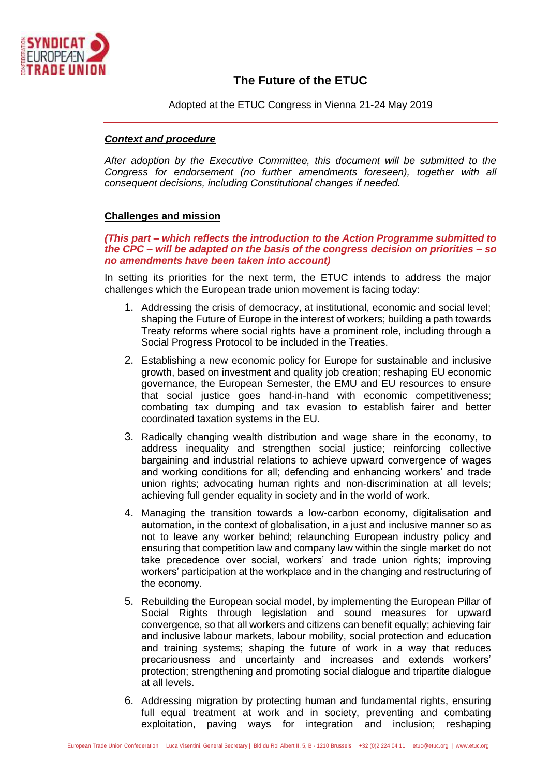

# **The Future of the ETUC**

Adopted at the ETUC Congress in Vienna 21-24 May 2019

## *Context and procedure*

*After adoption by the Executive Committee, this document will be submitted to the Congress for endorsement (no further amendments foreseen), together with all consequent decisions, including Constitutional changes if needed.*

# **Challenges and mission**

#### *(This part – which reflects the introduction to the Action Programme submitted to the CPC – will be adapted on the basis of the congress decision on priorities – so no amendments have been taken into account)*

In setting its priorities for the next term, the ETUC intends to address the major challenges which the European trade union movement is facing today:

- 1. Addressing the crisis of democracy, at institutional, economic and social level; shaping the Future of Europe in the interest of workers; building a path towards Treaty reforms where social rights have a prominent role, including through a Social Progress Protocol to be included in the Treaties.
- 2. Establishing a new economic policy for Europe for sustainable and inclusive growth, based on investment and quality job creation; reshaping EU economic governance, the European Semester, the EMU and EU resources to ensure that social justice goes hand-in-hand with economic competitiveness; combating tax dumping and tax evasion to establish fairer and better coordinated taxation systems in the EU.
- 3. Radically changing wealth distribution and wage share in the economy, to address inequality and strengthen social justice; reinforcing collective bargaining and industrial relations to achieve upward convergence of wages and working conditions for all; defending and enhancing workers' and trade union rights; advocating human rights and non-discrimination at all levels; achieving full gender equality in society and in the world of work.
- 4. Managing the transition towards a low-carbon economy, digitalisation and automation, in the context of globalisation, in a just and inclusive manner so as not to leave any worker behind; relaunching European industry policy and ensuring that competition law and company law within the single market do not take precedence over social, workers' and trade union rights; improving workers' participation at the workplace and in the changing and restructuring of the economy.
- 5. Rebuilding the European social model, by implementing the European Pillar of Social Rights through legislation and sound measures for upward convergence, so that all workers and citizens can benefit equally; achieving fair and inclusive labour markets, labour mobility, social protection and education and training systems; shaping the future of work in a way that reduces precariousness and uncertainty and increases and extends workers' protection; strengthening and promoting social dialogue and tripartite dialogue at all levels.
- 6. Addressing migration by protecting human and fundamental rights, ensuring full equal treatment at work and in society, preventing and combating exploitation, paving ways for integration and inclusion; reshaping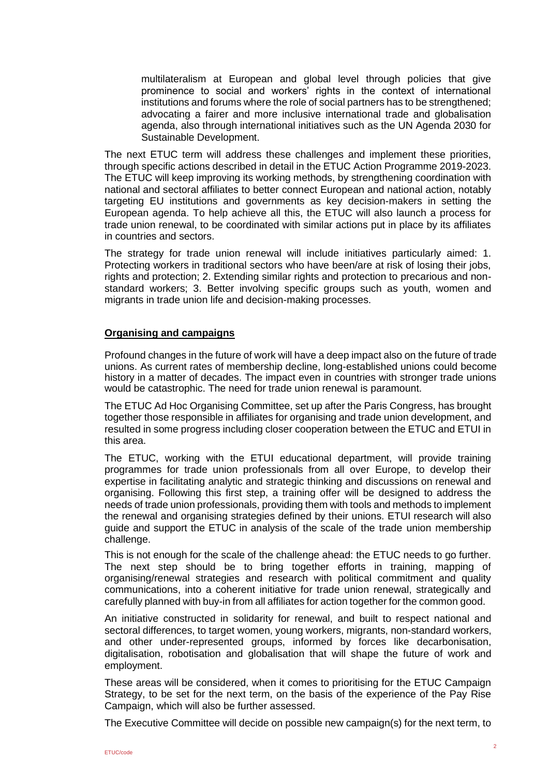multilateralism at European and global level through policies that give prominence to social and workers' rights in the context of international institutions and forums where the role of social partners has to be strengthened; advocating a fairer and more inclusive international trade and globalisation agenda, also through international initiatives such as the UN Agenda 2030 for Sustainable Development.

The next ETUC term will address these challenges and implement these priorities, through specific actions described in detail in the ETUC Action Programme 2019-2023. The ETUC will keep improving its working methods, by strengthening coordination with national and sectoral affiliates to better connect European and national action, notably targeting EU institutions and governments as key decision-makers in setting the European agenda. To help achieve all this, the ETUC will also launch a process for trade union renewal, to be coordinated with similar actions put in place by its affiliates in countries and sectors.

The strategy for trade union renewal will include initiatives particularly aimed: 1. Protecting workers in traditional sectors who have been/are at risk of losing their jobs, rights and protection; 2. Extending similar rights and protection to precarious and nonstandard workers; 3. Better involving specific groups such as youth, women and migrants in trade union life and decision-making processes.

#### **Organising and campaigns**

Profound changes in the future of work will have a deep impact also on the future of trade unions. As current rates of membership decline, long-established unions could become history in a matter of decades. The impact even in countries with stronger trade unions would be catastrophic. The need for trade union renewal is paramount.

The ETUC Ad Hoc Organising Committee, set up after the Paris Congress, has brought together those responsible in affiliates for organising and trade union development, and resulted in some progress including closer cooperation between the ETUC and ETUI in this area.

The ETUC, working with the ETUI educational department, will provide training programmes for trade union professionals from all over Europe, to develop their expertise in facilitating analytic and strategic thinking and discussions on renewal and organising. Following this first step, a training offer will be designed to address the needs of trade union professionals, providing them with tools and methods to implement the renewal and organising strategies defined by their unions. ETUI research will also guide and support the ETUC in analysis of the scale of the trade union membership challenge.

This is not enough for the scale of the challenge ahead: the ETUC needs to go further. The next step should be to bring together efforts in training, mapping of organising/renewal strategies and research with political commitment and quality communications, into a coherent initiative for trade union renewal, strategically and carefully planned with buy-in from all affiliates for action together for the common good.

An initiative constructed in solidarity for renewal, and built to respect national and sectoral differences, to target women, young workers, migrants, non-standard workers, and other under-represented groups, informed by forces like decarbonisation, digitalisation, robotisation and globalisation that will shape the future of work and employment.

These areas will be considered, when it comes to prioritising for the ETUC Campaign Strategy, to be set for the next term, on the basis of the experience of the Pay Rise Campaign, which will also be further assessed.

The Executive Committee will decide on possible new campaign(s) for the next term, to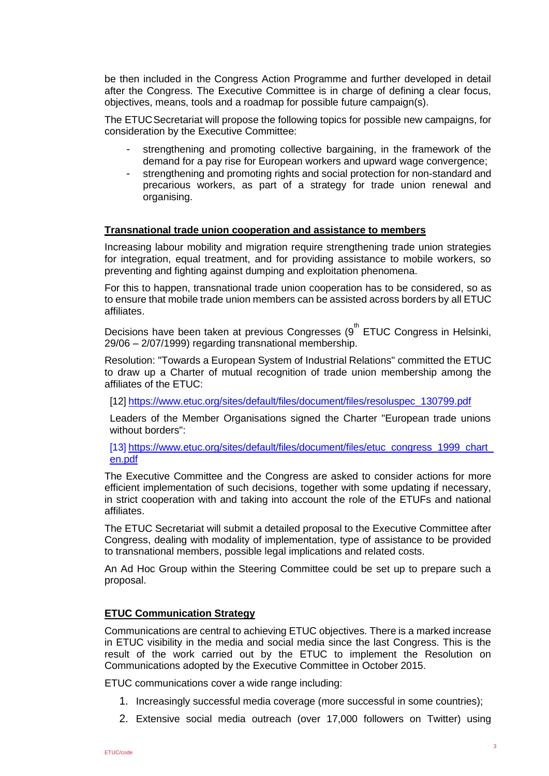be then included in the Congress Action Programme and further developed in detail after the Congress. The Executive Committee is in charge of defining a clear focus, objectives, means, tools and a roadmap for possible future campaign(s).

The ETUCSecretariat will propose the following topics for possible new campaigns, for consideration by the Executive Committee:

- strengthening and promoting collective bargaining, in the framework of the demand for a pay rise for European workers and upward wage convergence;
- strengthening and promoting rights and social protection for non-standard and precarious workers, as part of a strategy for trade union renewal and organising.

#### **Transnational trade union cooperation and assistance to members**

Increasing labour mobility and migration require strengthening trade union strategies for integration, equal treatment, and for providing assistance to mobile workers, so preventing and fighting against dumping and exploitation phenomena.

For this to happen, transnational trade union cooperation has to be considered, so as to ensure that mobile trade union members can be assisted across borders by all ETUC affiliates.

Decisions have been taken at previous Congresses  $(9^{th}$  ETUC Congress in Helsinki, 29/06 – 2/07/1999) regarding transnational membership.

Resolution: "Towards a European System of Industrial Relations" committed the ETUC to draw up a Charter of mutual recognition of trade union membership among the affiliates of the ETUC:

[12] [https://www.etuc.org/sites/default/files/document/files/resoluspec\\_130799.pdf](https://www.etuc.org/sites/default/files/document/files/resoluspec_130799.pdf)

Leaders of the Member Organisations signed the Charter "European trade unions without borders":

[13] https://www.etuc.org/sites/default/files/document/files/etuc\_congress\_1999\_chart [en.pdf](https://www.etuc.org/sites/default/files/document/files/etuc_congress_1999_chart_en.pdf)

The Executive Committee and the Congress are asked to consider actions for more efficient implementation of such decisions, together with some updating if necessary, in strict cooperation with and taking into account the role of the ETUFs and national affiliates.

The ETUC Secretariat will submit a detailed proposal to the Executive Committee after Congress, dealing with modality of implementation, type of assistance to be provided to transnational members, possible legal implications and related costs.

An Ad Hoc Group within the Steering Committee could be set up to prepare such a proposal.

## **ETUC Communication Strategy**

Communications are central to achieving ETUC objectives. There is a marked increase in ETUC visibility in the media and social media since the last Congress. This is the result of the work carried out by the ETUC to implement the Resolution on Communications adopted by the Executive Committee in October 2015.

ETUC communications cover a wide range including:

- 1. Increasingly successful media coverage (more successful in some countries);
- 2. Extensive social media outreach (over 17,000 followers on Twitter) using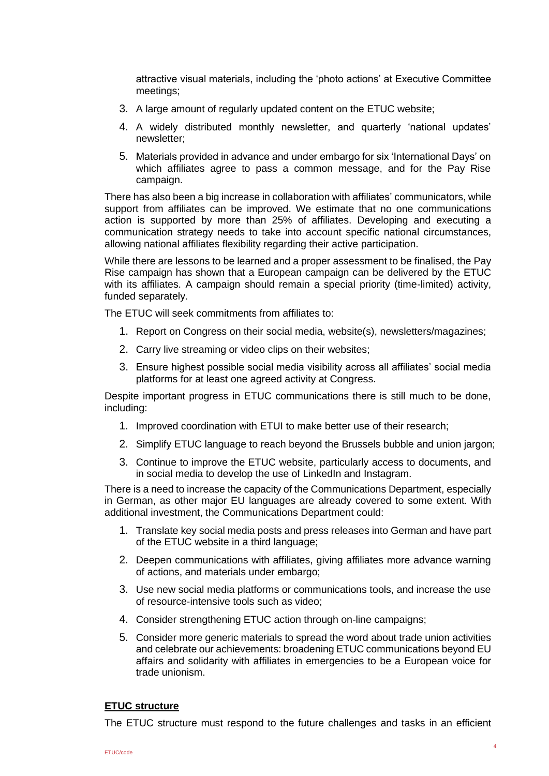attractive visual materials, including the 'photo actions' at Executive Committee meetings;

- 3. A large amount of regularly updated content on the ETUC website;
- 4. A widely distributed monthly newsletter, and quarterly 'national updates' newsletter;
- 5. Materials provided in advance and under embargo for six 'International Days' on which affiliates agree to pass a common message, and for the Pay Rise campaign.

There has also been a big increase in collaboration with affiliates' communicators, while support from affiliates can be improved. We estimate that no one communications action is supported by more than 25% of affiliates. Developing and executing a communication strategy needs to take into account specific national circumstances, allowing national affiliates flexibility regarding their active participation.

While there are lessons to be learned and a proper assessment to be finalised, the Pay Rise campaign has shown that a European campaign can be delivered by the ETUC with its affiliates. A campaign should remain a special priority (time-limited) activity, funded separately.

The ETUC will seek commitments from affiliates to:

- 1. Report on Congress on their social media, website(s), newsletters/magazines;
- 2. Carry live streaming or video clips on their websites;
- 3. Ensure highest possible social media visibility across all affiliates' social media platforms for at least one agreed activity at Congress.

Despite important progress in ETUC communications there is still much to be done, including:

- 1. Improved coordination with ETUI to make better use of their research;
- 2. Simplify ETUC language to reach beyond the Brussels bubble and union jargon;
- 3. Continue to improve the ETUC website, particularly access to documents, and in social media to develop the use of LinkedIn and Instagram.

There is a need to increase the capacity of the Communications Department, especially in German, as other major EU languages are already covered to some extent. With additional investment, the Communications Department could:

- 1. Translate key social media posts and press releases into German and have part of the ETUC website in a third language;
- 2. Deepen communications with affiliates, giving affiliates more advance warning of actions, and materials under embargo;
- 3. Use new social media platforms or communications tools, and increase the use of resource-intensive tools such as video;
- 4. Consider strengthening ETUC action through on-line campaigns;
- 5. Consider more generic materials to spread the word about trade union activities and celebrate our achievements: broadening ETUC communications beyond EU affairs and solidarity with affiliates in emergencies to be a European voice for trade unionism.

#### **ETUC structure**

The ETUC structure must respond to the future challenges and tasks in an efficient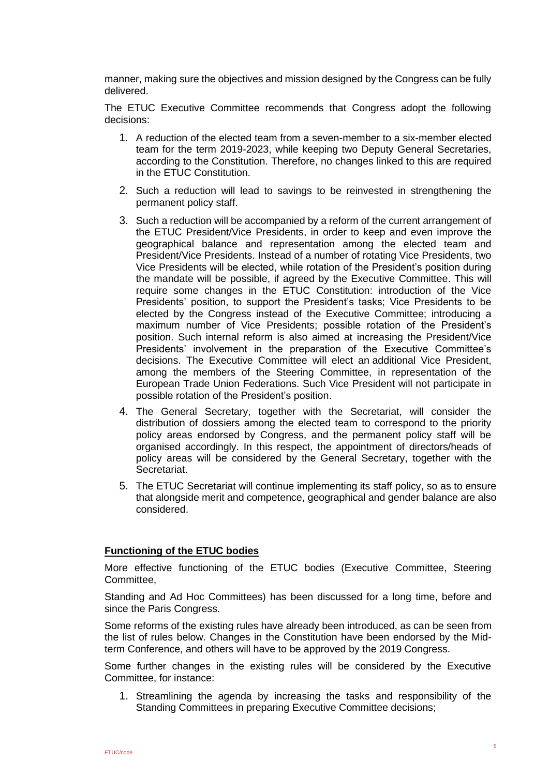manner, making sure the objectives and mission designed by the Congress can be fully delivered.

The ETUC Executive Committee recommends that Congress adopt the following decisions:

- 1. A reduction of the elected team from a seven-member to a six-member elected team for the term 2019-2023, while keeping two Deputy General Secretaries, according to the Constitution. Therefore, no changes linked to this are required in the ETUC Constitution.
- 2. Such a reduction will lead to savings to be reinvested in strengthening the permanent policy staff.
- 3. Such a reduction will be accompanied by a reform of the current arrangement of the ETUC President/Vice Presidents, in order to keep and even improve the geographical balance and representation among the elected team and President/Vice Presidents. Instead of a number of rotating Vice Presidents, two Vice Presidents will be elected, while rotation of the President's position during the mandate will be possible, if agreed by the Executive Committee. This will require some changes in the ETUC Constitution: introduction of the Vice Presidents' position, to support the President's tasks; Vice Presidents to be elected by the Congress instead of the Executive Committee; introducing a maximum number of Vice Presidents; possible rotation of the President's position. Such internal reform is also aimed at increasing the President/Vice Presidents' involvement in the preparation of the Executive Committee's decisions. The Executive Committee will elect an additional Vice President, among the members of the Steering Committee, in representation of the European Trade Union Federations. Such Vice President will not participate in possible rotation of the President's position.
- 4. The General Secretary, together with the Secretariat, will consider the distribution of dossiers among the elected team to correspond to the priority policy areas endorsed by Congress, and the permanent policy staff will be organised accordingly. In this respect, the appointment of directors/heads of policy areas will be considered by the General Secretary, together with the Secretariat.
- 5. The ETUC Secretariat will continue implementing its staff policy, so as to ensure that alongside merit and competence, geographical and gender balance are also considered.

#### **Functioning of the ETUC bodies**

More effective functioning of the ETUC bodies (Executive Committee, Steering Committee,

Standing and Ad Hoc Committees) has been discussed for a long time, before and since the Paris Congress.

Some reforms of the existing rules have already been introduced, as can be seen from the list of rules below. Changes in the Constitution have been endorsed by the Midterm Conference, and others will have to be approved by the 2019 Congress.

Some further changes in the existing rules will be considered by the Executive Committee, for instance:

1. Streamlining the agenda by increasing the tasks and responsibility of the Standing Committees in preparing Executive Committee decisions;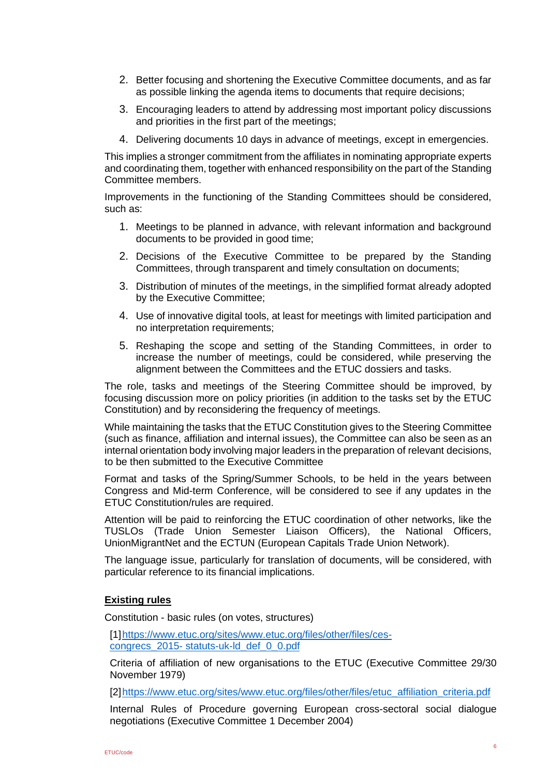- 2. Better focusing and shortening the Executive Committee documents, and as far as possible linking the agenda items to documents that require decisions;
- 3. Encouraging leaders to attend by addressing most important policy discussions and priorities in the first part of the meetings;
- 4. Delivering documents 10 days in advance of meetings, except in emergencies.

This implies a stronger commitment from the affiliates in nominating appropriate experts and coordinating them, together with enhanced responsibility on the part of the Standing Committee members.

Improvements in the functioning of the Standing Committees should be considered, such as:

- 1. Meetings to be planned in advance, with relevant information and background documents to be provided in good time;
- 2. Decisions of the Executive Committee to be prepared by the Standing Committees, through transparent and timely consultation on documents;
- 3. Distribution of minutes of the meetings, in the simplified format already adopted by the Executive Committee;
- 4. Use of innovative digital tools, at least for meetings with limited participation and no interpretation requirements;
- 5. Reshaping the scope and setting of the Standing Committees, in order to increase the number of meetings, could be considered, while preserving the alignment between the Committees and the ETUC dossiers and tasks.

The role, tasks and meetings of the Steering Committee should be improved, by focusing discussion more on policy priorities (in addition to the tasks set by the ETUC Constitution) and by reconsidering the frequency of meetings.

While maintaining the tasks that the ETUC Constitution gives to the Steering Committee (such as finance, affiliation and internal issues), the Committee can also be seen as an internal orientation body involving major leaders in the preparation of relevant decisions, to be then submitted to the Executive Committee

Format and tasks of the Spring/Summer Schools, to be held in the years between Congress and Mid-term Conference, will be considered to see if any updates in the ETUC Constitution/rules are required.

Attention will be paid to reinforcing the ETUC coordination of other networks, like the TUSLOs (Trade Union Semester Liaison Officers), the National Officers, UnionMigrantNet and the ECTUN (European Capitals Trade Union Network).

The language issue, particularly for translation of documents, will be considered, with particular reference to its financial implications.

## **Existing rules**

Constitution - basic rules (on votes, structures)

[1[\]https://www.etuc.org/sites/www.etuc.org/files/other/files/ces](https://www.etuc.org/sites/www.etuc.org/files/other/files/ces-congrecs_2015-statuts-uk-ld_def_0_0.pdf)[congrecs\\_2015-](https://www.etuc.org/sites/www.etuc.org/files/other/files/ces-congrecs_2015-statuts-uk-ld_def_0_0.pdf) [statuts-uk-ld\\_def\\_0\\_0.pdf](https://www.etuc.org/sites/www.etuc.org/files/other/files/ces-congrecs_2015-statuts-uk-ld_def_0_0.pdf)

Criteria of affiliation of new organisations to the ETUC (Executive Committee 29/30 November 1979)

[2[\]https://www.etuc.org/sites/www.etuc.org/files/other/files/etuc\\_affiliation\\_criteria.pdf](https://www.etuc.org/sites/www.etuc.org/files/other/files/etuc_affiliation_criteria.pdf)

Internal Rules of Procedure governing European cross-sectoral social dialogue negotiations (Executive Committee 1 December 2004)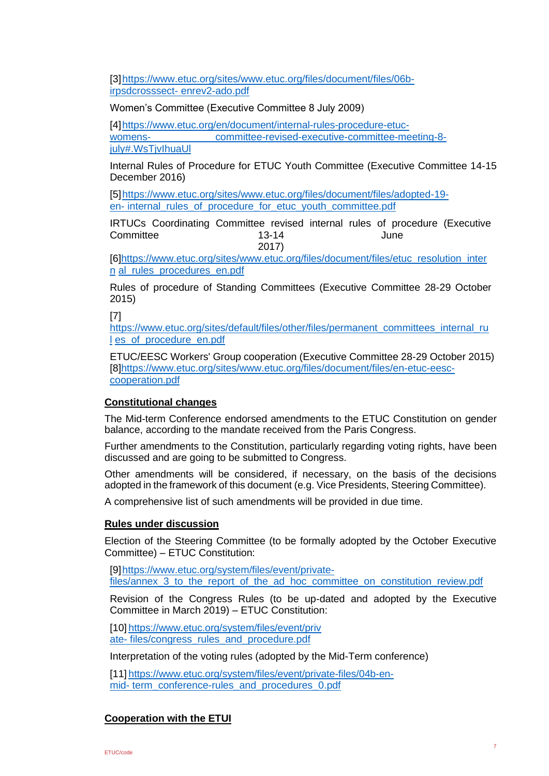[3[\]https://www.etuc.org/sites/www.etuc.org/files/document/files/06b](https://www.etuc.org/sites/www.etuc.org/files/document/files/06b-irpsdcrosssect-enrev2-ado.pdf)[irpsdcrosssect-](https://www.etuc.org/sites/www.etuc.org/files/document/files/06b-irpsdcrosssect-enrev2-ado.pdf) [enrev2-ado.pdf](https://www.etuc.org/sites/www.etuc.org/files/document/files/06b-irpsdcrosssect-enrev2-ado.pdf)

Women's Committee (Executive Committee 8 July 2009)

[4[\]https://www.etuc.org/en/document/internal-rules-procedure-etuc](https://www.etuc.org/en/document/internal-rules-procedure-etuc-womens-committee-revised-executive-committee-meeting-8-july#.WsTjvIhuaUl)[womens-](https://www.etuc.org/en/document/internal-rules-procedure-etuc-womens-committee-revised-executive-committee-meeting-8-july#.WsTjvIhuaUl) [committee-revised-executive-committee-meeting-8](https://www.etuc.org/en/document/internal-rules-procedure-etuc-womens-committee-revised-executive-committee-meeting-8-july#.WsTjvIhuaUl) [july#.WsTjvIhuaUl](https://www.etuc.org/en/document/internal-rules-procedure-etuc-womens-committee-revised-executive-committee-meeting-8-july#.WsTjvIhuaUl)

Internal Rules of Procedure for ETUC Youth Committee (Executive Committee 14-15 December 2016)

[5[\]https://www.etuc.org/sites/www.etuc.org/files/document/files/adopted-19](https://www.etuc.org/sites/www.etuc.org/files/document/files/adopted-19-en-internal_rules_of_procedure_for_etuc_youth_committee.pdf) [en-](https://www.etuc.org/sites/www.etuc.org/files/document/files/adopted-19-en-internal_rules_of_procedure_for_etuc_youth_committee.pdf) [internal\\_rules\\_of\\_procedure\\_for\\_etuc\\_youth\\_committee.pdf](https://www.etuc.org/sites/www.etuc.org/files/document/files/adopted-19-en-internal_rules_of_procedure_for_etuc_youth_committee.pdf)

IRTUCs Coordinating Committee revised internal rules of procedure (Executive Committee 13-14 June 2017)

[6[\]https://www.etuc.org/sites/www.etuc.org/files/document/files/etuc\\_resolution\\_inter](https://www.etuc.org/sites/www.etuc.org/files/document/files/etuc_resolution_internal_rules_procedures_en.pdf) [n](https://www.etuc.org/sites/www.etuc.org/files/document/files/etuc_resolution_internal_rules_procedures_en.pdf) [al\\_rules\\_procedures\\_en.pdf](https://www.etuc.org/sites/www.etuc.org/files/document/files/etuc_resolution_internal_rules_procedures_en.pdf)

Rules of procedure of Standing Committees (Executive Committee 28-29 October 2015)

#### [7]

[https://www.etuc.org/sites/default/files/other/files/permanent\\_committees\\_internal\\_ru](https://www.etuc.org/sites/default/files/other/files/permanent_committees_internal_rules_of_procedure_en.pdf) [l](https://www.etuc.org/sites/default/files/other/files/permanent_committees_internal_rules_of_procedure_en.pdf) [es\\_of\\_procedure\\_en.pdf](https://www.etuc.org/sites/default/files/other/files/permanent_committees_internal_rules_of_procedure_en.pdf)

ETUC/EESC Workers' Group cooperation (Executive Committee 28-29 October 2015) [8[\]https://www.etuc.org/sites/www.etuc.org/files/document/files/en-etuc-eesc](https://www.etuc.org/sites/www.etuc.org/files/document/files/en-etuc-eesc-cooperation.pdf)[cooperation.pdf](https://www.etuc.org/sites/www.etuc.org/files/document/files/en-etuc-eesc-cooperation.pdf)

### **Constitutional changes**

The Mid-term Conference endorsed amendments to the ETUC Constitution on gender balance, according to the mandate received from the Paris Congress.

Further amendments to the Constitution, particularly regarding voting rights, have been discussed and are going to be submitted to Congress.

Other amendments will be considered, if necessary, on the basis of the decisions adopted in the framework of this document (e.g. Vice Presidents, Steering Committee).

A comprehensive list of such amendments will be provided in due time.

### **Rules under discussion**

Election of the Steering Committee (to be formally adopted by the October Executive Committee) – ETUC Constitution:

[9]https:[//www.etuc.org/system/files/event/private](http://www.etuc.org/system/files/event/private-)files/annex\_3\_to\_the\_report\_of\_the\_ad\_hoc\_committee\_on\_constitution\_review.pdf

Revision of the Congress Rules (to be up-dated and adopted by the Executive Committee in March 2019) – ETUC Constitution:

[10] https:[//www.etuc.org/system/files/event/priv](http://www.etuc.org/system/files/event/private-) [ate-](http://www.etuc.org/system/files/event/private-) files/congress\_rules\_and\_procedure.pdf

Interpretation of the voting rules (adopted by the Mid-Term conference)

[11] [https://www.etuc.org/system/files/event/private-files/04b-en](https://www.etuc.org/system/files/event/private-files/04b-en-mid-term_conference-rules_and_procedures_0.pdf)[mid-](https://www.etuc.org/system/files/event/private-files/04b-en-mid-term_conference-rules_and_procedures_0.pdf) [term\\_conference-rules\\_and\\_procedures\\_0.pdf](https://www.etuc.org/system/files/event/private-files/04b-en-mid-term_conference-rules_and_procedures_0.pdf)

### **Cooperation with the ETUI**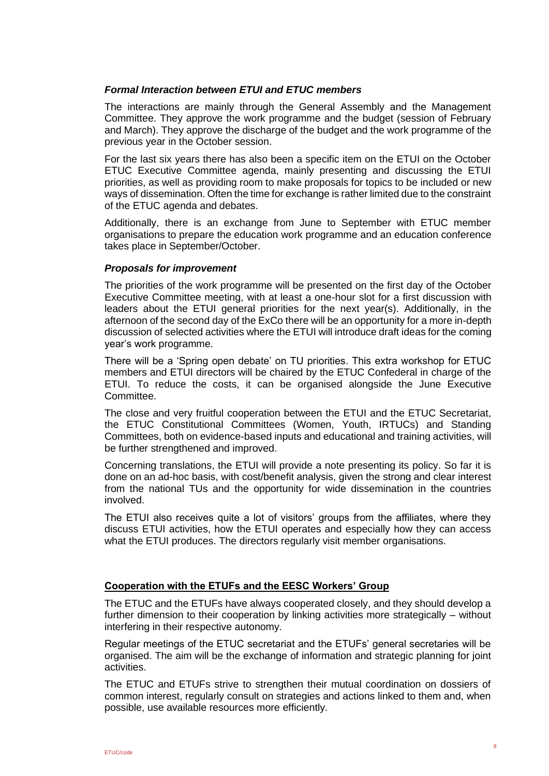## *Formal Interaction between ETUI and ETUC members*

The interactions are mainly through the General Assembly and the Management Committee. They approve the work programme and the budget (session of February and March). They approve the discharge of the budget and the work programme of the previous year in the October session.

For the last six years there has also been a specific item on the ETUI on the October ETUC Executive Committee agenda, mainly presenting and discussing the ETUI priorities, as well as providing room to make proposals for topics to be included or new ways of dissemination. Often the time for exchange is rather limited due to the constraint of the ETUC agenda and debates.

Additionally, there is an exchange from June to September with ETUC member organisations to prepare the education work programme and an education conference takes place in September/October.

## *Proposals for improvement*

The priorities of the work programme will be presented on the first day of the October Executive Committee meeting, with at least a one-hour slot for a first discussion with leaders about the ETUI general priorities for the next year(s). Additionally, in the afternoon of the second day of the ExCo there will be an opportunity for a more in-depth discussion of selected activities where the ETUI will introduce draft ideas for the coming year's work programme.

There will be a 'Spring open debate' on TU priorities. This extra workshop for ETUC members and ETUI directors will be chaired by the ETUC Confederal in charge of the ETUI. To reduce the costs, it can be organised alongside the June Executive Committee.

The close and very fruitful cooperation between the ETUI and the ETUC Secretariat, the ETUC Constitutional Committees (Women, Youth, IRTUCs) and Standing Committees, both on evidence-based inputs and educational and training activities, will be further strengthened and improved.

Concerning translations, the ETUI will provide a note presenting its policy. So far it is done on an ad-hoc basis, with cost/benefit analysis, given the strong and clear interest from the national TUs and the opportunity for wide dissemination in the countries involved.

The ETUI also receives quite a lot of visitors' groups from the affiliates, where they discuss ETUI activities, how the ETUI operates and especially how they can access what the ETUI produces. The directors regularly visit member organisations.

# **Cooperation with the ETUFs and the EESC Workers' Group**

The ETUC and the ETUFs have always cooperated closely, and they should develop a further dimension to their cooperation by linking activities more strategically – without interfering in their respective autonomy.

Regular meetings of the ETUC secretariat and the ETUFs' general secretaries will be organised. The aim will be the exchange of information and strategic planning for joint activities.

The ETUC and ETUFs strive to strengthen their mutual coordination on dossiers of common interest, regularly consult on strategies and actions linked to them and, when possible, use available resources more efficiently.